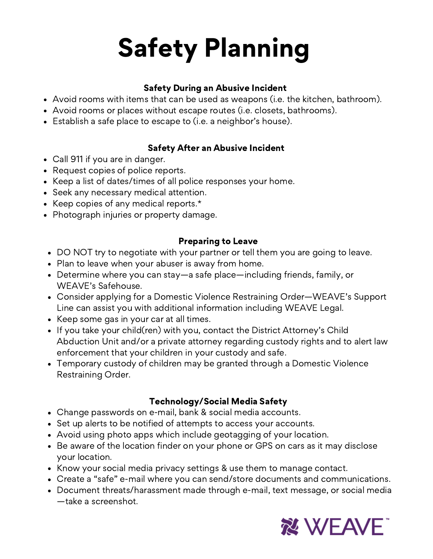# Safety Planning

## Safety During an Abusive [Incident](https://www.weaveinc.org/post/safety-planning-0#)

- Avoid rooms with items that can be used as weapons (i.e. the kitchen, bathroom).
- Avoid rooms or places without escape routes (i.e. closets, bathrooms).
- Establish a safe place to escape to (i.e. a neighbor's house).

## Safety After an Abusive Incident

- Call 911 if you are in danger.
- Request copies of police reports.
- Keep a list of dates/times of all police responses your home.
- Seek any necessary medical attention.
- Keep copies of any medical reports.\*
- Photograph injuries or property damage.

## [Preparing](https://www.weaveinc.org/post/safety-planning-0#) to Leave

- DO NOT try to negotiate with your partner or tell them you are going to leave.
- Plan to leave when your abuser is away from home.
- Determine where you can stay—a safe place—including friends, family, or WEAVE's Safehouse.
- Consider applying for a Domestic Violence Restraining Order—WEAVE's Support Line can assist you with additional information including WEAVE Legal.
- $\bullet$  Keep some gas in your car at all times.
- $\bullet$  If you take your child(ren) with you, contact the District Attorney's Child Abduction Unit and/or a private attorney regarding custody rights and to alert law enforcement that your children in your custody and safe.
- Temporary custody of children may be granted through a Domestic Violence Restraining Order.

## Technology/Social Media Safety

- Change passwords on e-mail, bank & social media accounts.
- Set up alerts to be notified of attempts to access your accounts.
- Avoid using photo apps which include geotagging of your location.
- Be aware of the location finder on your phone or GPS on cars as it may disclose your location.
- Know your social media privacy settings & use them to manage contact.
- Create a "safe" e-mail where you can send/store documents and communications.
- Document threats/harassment made through e-mail, text message, or social media —take a screenshot.